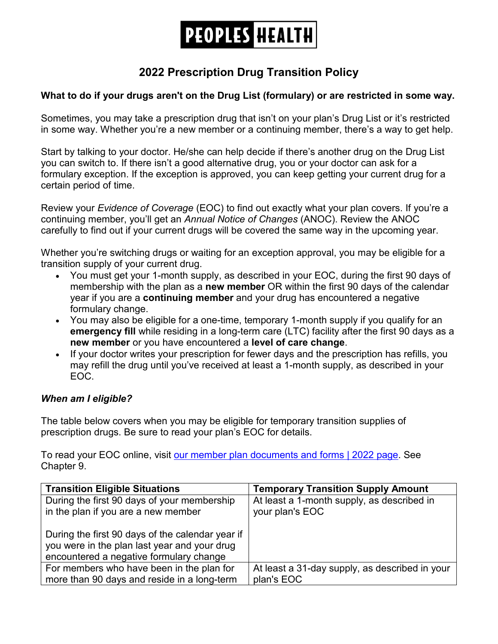# **PEOPLES HEALTH**

## **2022 Prescription Drug Transition Policy**

### **What to do if your drugs aren't on the Drug List (formulary) or are restricted in some way.**

 in some way. Whether you're a new member or a continuing member, there's a way to get help. Sometimes, you may take a prescription drug that isn't on your plan's Drug List or it's restricted

 Start by talking to your doctor. He/she can help decide if there's another drug on the Drug List you can switch to. If there isn't a good alternative drug, you or your doctor can ask for a formulary exception. If the exception is approved, you can keep getting your current drug for a certain period of time.

Review your *Evidence of Coverage* (EOC) to find out exactly what your plan covers. If you're a continuing member, you'll get an *Annual Notice of Changes* (ANOC). Review the ANOC carefully to find out if your current drugs will be covered the same way in the upcoming year.

 Whether you're switching drugs or waiting for an exception approval, you may be eligible for a transition supply of your current drug.

- You must get your 1-month supply, as described in your EOC, during the first 90 days of membership with the plan as a **new member** OR within the first 90 days of the calendar year if you are a **continuing member** and your drug has encountered a negative formulary change.
- **emergency fill** while residing in a long-term care (LTC) facility after the first 90 days as a • You may also be eligible for a one-time, temporary 1-month supply if you qualify for an **new member** or you have encountered a **level of care change**.
- • If your doctor writes your prescription for fewer days and the prescription has refills, you may refill the drug until you've received at least a 1-month supply, as described in your EOC.

#### *When am I eligible?*

 The table below covers when you may be eligible for temporary transition supplies of prescription drugs. Be sure to read your plan's EOC for details.

To read your EOC online, visit <u>our member plan documents and forms | 2022 page</u>. See Chapter 9.

| <b>Transition Eligible Situations</b>                                                                                                       | <b>Temporary Transition Supply Amount</b>      |
|---------------------------------------------------------------------------------------------------------------------------------------------|------------------------------------------------|
| During the first 90 days of your membership                                                                                                 | At least a 1-month supply, as described in     |
| in the plan if you are a new member                                                                                                         | your plan's EOC                                |
| During the first 90 days of the calendar year if<br>you were in the plan last year and your drug<br>encountered a negative formulary change |                                                |
| For members who have been in the plan for                                                                                                   | At least a 31-day supply, as described in your |
| more than 90 days and reside in a long-term                                                                                                 | plan's EOC                                     |